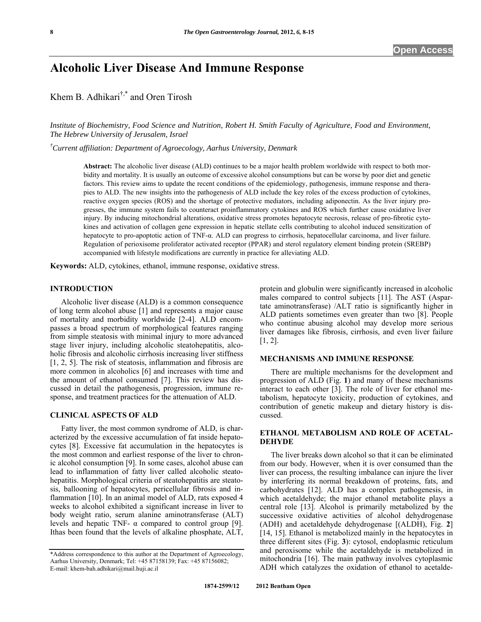# **Alcoholic Liver Disease And Immune Response**

Khem B. Adhikari†,\* and Oren Tirosh

*Institute of Biochemistry, Food Science and Nutrition, Robert H. Smith Faculty of Agriculture, Food and Environment, The Hebrew University of Jerusalem, Israel* 

*† Current affiliation: Department of Agroecology, Aarhus University, Denmark* 

**Abstract:** The alcoholic liver disease (ALD) continues to be a major health problem worldwide with respect to both morbidity and mortality. It is usually an outcome of excessive alcohol consumptions but can be worse by poor diet and genetic factors. This review aims to update the recent conditions of the epidemiology, pathogenesis, immune response and therapies to ALD. The new insights into the pathogenesis of ALD include the key roles of the excess production of cytokines, reactive oxygen species (ROS) and the shortage of protective mediators, including adiponectin. As the liver injury progresses, the immune system fails to counteract proinflammatory cytokines and ROS which further cause oxidative liver injury. By inducing mitochondrial alterations, oxidative stress promotes hepatocyte necrosis, release of pro-fibrotic cytokines and activation of collagen gene expression in hepatic stellate cells contributing to alcohol induced sensitization of hepatocyte to pro-apoptotic action of TNF-α. ALD can progress to cirrhosis, hepatocellular carcinoma, and liver failure. Regulation of perioxisome proliferator activated receptor (PPAR) and sterol regulatory element binding protein (SREBP) accompanied with lifestyle modifications are currently in practice for alleviating ALD.

**Keywords:** ALD, cytokines, ethanol, immune response, oxidative stress.

#### **INTRODUCTION**

 Alcoholic liver disease (ALD) is a common consequence of long term alcohol abuse [\[1\]](#page-6-0) and represents a major cause of mortality and morbidity worldwide [\[2-4](#page-6-1)]. ALD encompasses a broad spectrum of morphological features ranging from simple steatosis with minimal injury to more advanced stage liver injury, including alcoholic steatohepatitis, alcoholic fibrosis and alcoholic cirrhosis increasing liver stiffness [\[1](#page-6-0), [2,](#page-6-1) [5](#page-6-2)]. The risk of steatosis, inflammation and fibrosis are more common in alcoholics [[6\]](#page-6-3) and increases with time and the amount of ethanol consumed [[7\]](#page-6-4). This review has discussed in detail the pathogenesis, progression, immune response, and treatment practices for the attenuation of ALD.

# **CLINICAL ASPECTS OF ALD**

 Fatty liver, the most common syndrome of ALD, is characterized by the excessive accumulation of fat inside hepatocytes [[8\]](#page-6-5). Excessive fat accumulation in the hepatocytes is the most common and earliest response of the liver to chronic alcohol consumption [[9\]](#page-6-6). In some cases, alcohol abuse can lead to inflammation of fatty liver called alcoholic steatohepatitis. Morphological criteria of steatohepatitis are steatosis, ballooning of hepatocytes, pericellular fibrosis and inflammation [[10\]](#page-6-7). In an animal model of ALD, rats exposed 4 weeks to alcohol exhibited a significant increase in liver to body weight ratio, serum alanine aminotransferase (ALT) levels and hepatic TNF-  $\alpha$  compared to control group [[9\]](#page-6-6). Ithas been found that the levels of alkaline phosphate, ALT,

protein and globulin were significantly increased in alcoholic males compared to control subjects [\[11](#page-6-8)]. The AST (Aspartate aminotransferase) /ALT ratio is significantly higher in ALD patients sometimes even greater than two [[8\]](#page-6-5). People who continue abusing alcohol may develop more serious liver damages like fibrosis, cirrhosis, and even liver failure [\[1](#page-6-0), [2](#page-6-1)].

#### **MECHANISMS AND IMMUNE RESPONSE**

 There are multiple mechanisms for the development and progression of ALD (Fig. **1**) and many of these mechanisms interact to each other [[3\]](#page-6-9). The role of liver for ethanol metabolism, hepatocyte toxicity, production of cytokines, and contribution of genetic makeup and dietary history is discussed.

#### **ETHANOL METABOLISM AND ROLE OF ACETAL-DEHYDE**

 The liver breaks down alcohol so that it can be eliminated from our body. However, when it is over consumed than the liver can process, the resulting imbalance can injure the liver by interfering its normal breakdown of proteins, fats, and carbohydrates [\[12](#page-6-10)]. ALD has a complex pathogenesis, in which acetaldehyde; the major ethanol metabolite plays a central role [\[13](#page-6-11)]. Alcohol is primarily metabolized by the successive oxidative activities of alcohol dehydrogenase (ADH) and acetaldehyde dehydrogenase [(ALDH), Fig. **2**] [\[14](#page-6-12), [15](#page-6-13)]. Ethanol is metabolized mainly in the hepatocytes in three different sites (Fig. **3**): cytosol, endoplasmic reticulum and peroxisome while the acetaldehyde is metabolized in mitochondria [\[16](#page-6-14)]. The main pathway involves cytoplasmic ADH which catalyzes the oxidation of ethanol to acetalde-

<sup>\*</sup>Address correspondence to this author at the Department of Agroecology, Aarhus University, Denmark; Tel: +45 87158139; Fax: +45 87156082; E-mail: [khem-bah.adhikari@mail.huji.ac.il](mailto:khem-bah.adhikari@mail.huji.ac.il)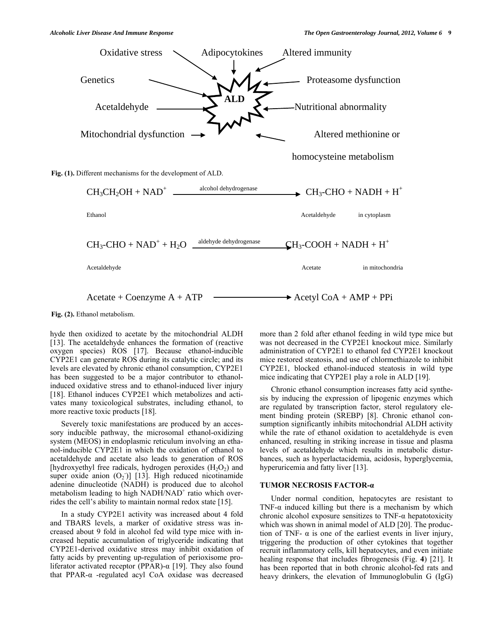

# **Fig. (2).** Ethanol metabolism.

hyde then oxidized to acetate by the mitochondrial ALDH [\[13](#page-6-11)]. The acetaldehyde enhances the formation of (reactive oxygen species) ROS [[17\]](#page-6-15). Because ethanol-inducible CYP2E1 can generate ROS during its catalytic circle; and its levels are elevated by chronic ethanol consumption, CYP2E1 has been suggested to be a major contributor to ethanolinduced oxidative stress and to ethanol-induced liver injury [\[18](#page-6-16)]. Ethanol induces CYP2E1 which metabolizes and activates many toxicological substrates, including ethanol, to more reactive toxic products [[18\]](#page-6-16).

 Severely toxic manifestations are produced by an accessory inducible pathway, the microsomal ethanol-oxidizing system (MEOS) in endoplasmic reticulum involving an ethanol-inducible CYP2E1 in which the oxidation of ethanol to acetaldehyde and acetate also leads to generation of ROS [hydroxyethyl free radicals, hydrogen peroxides  $(H_2O_2)$  and super oxide anion  $(O_2)$ ] [\[13](#page-6-11)]. High reduced nicotinamide adenine dinucleotide (NADH) is produced due to alcohol metabolism leading to high NADH/NAD<sup>+</sup> ratio which overrides the cell's ability to maintain normal redox state [[15\]](#page-6-13).

 In a study CYP2E1 activity was increased about 4 fold and TBARS levels, a marker of oxidative stress was increased about 9 fold in alcohol fed wild type mice with increased hepatic accumulation of triglyceride indicating that CYP2E1-derived oxidative stress may inhibit oxidation of fatty acids by preventing up-regulation of perioxisome proliferator activated receptor (PPAR)-α [[19\]](#page-6-17). They also found that PPAR-α -regulated acyl CoA oxidase was decreased

more than 2 fold after ethanol feeding in wild type mice but was not decreased in the CYP2E1 knockout mice. Similarly administration of CYP2E1 to ethanol fed CYP2E1 knockout mice restored steatosis, and use of chlormethiazole to inhibit CYP2E1, blocked ethanol-induced steatosis in wild type mice indicating that CYP2E1 play a role in ALD [\[19](#page-6-17)].

Chronic ethanol consumption increases fatty acid synthesis by inducing the expression of lipogenic enzymes which are regulated by transcription factor, sterol regulatory element binding protein (SREBP) [[8\]](#page-6-5). Chronic ethanol consumption significantly inhibits mitochondrial ALDH activity while the rate of ethanol oxidation to acetaldehyde is even enhanced, resulting in striking increase in tissue and plasma levels of acetaldehyde which results in metabolic disturbances, such as hyperlactacidemia, acidosis, hyperglycemia, hyperuricemia and fatty liver [[13\]](#page-6-11).

## **TUMOR NECROSIS FACTOR-α**

 Under normal condition, hepatocytes are resistant to TNF- $\alpha$  induced killing but there is a mechanism by which chronic alcohol exposure sensitizes to  $TNF-\alpha$  hepatotoxicity which was shown in animal model of ALD [\[20](#page-7-0)]. The production of TNF-  $\alpha$  is one of the earliest events in liver injury, triggering the production of other cytokines that together recruit inflammatory cells, kill hepatocytes, and even initiate healing response that includes fibrogenesis (Fig. **4**) [[21\]](#page-7-1). It has been reported that in both chronic alcohol-fed rats and heavy drinkers, the elevation of Immunoglobulin G (IgG)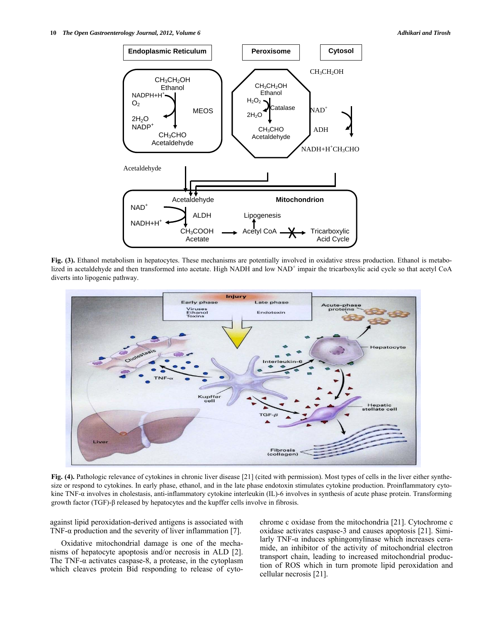

**Fig. (3).** Ethanol metabolism in hepatocytes. These mechanisms are potentially involved in oxidative stress production. Ethanol is metabolized in acetaldehyde and then transformed into acetate. High NADH and low NAD<sup>+</sup> impair the tricarboxylic acid cycle so that acetyl CoA diverts into lipogenic pathway.



**Fig. (4).** Pathologic relevance of cytokines in chronic liver disease [21] (cited with permission). Most types of cells in the liver either synthesize or respond to cytokines. In early phase, ethanol, and in the late phase endotoxin stimulates cytokine production. Proinflammatory cytokine TNF-α involves in cholestasis, anti-inflammatory cytokine interleukin (IL)-6 involves in synthesis of acute phase protein. Transforming growth factor (TGF)-β released by hepatocytes and the kupffer cells involve in fibrosis.

against lipid peroxidation-derived antigens is associated with TNF- $\alpha$  production and the severity of liver inflammation [[7\]](#page-6-4).

 Oxidative mitochondrial damage is one of the mechanisms of hepatocyte apoptosis and/or necrosis in ALD [[2\]](#page-6-1). The TNF- $\alpha$  activates caspase-8, a protease, in the cytoplasm which cleaves protein Bid responding to release of cytochrome c oxidase from the mitochondria [\[21](#page-7-1)]. Cytochrome c oxidase activates caspase-3 and causes apoptosis [[21\]](#page-7-1). Similarly TNF- $\alpha$  induces sphingomylinase which increases ceramide, an inhibitor of the activity of mitochondrial electron transport chain, leading to increased mitochondrial production of ROS which in turn promote lipid peroxidation and cellular necrosis [\[21\]](#page-7-1).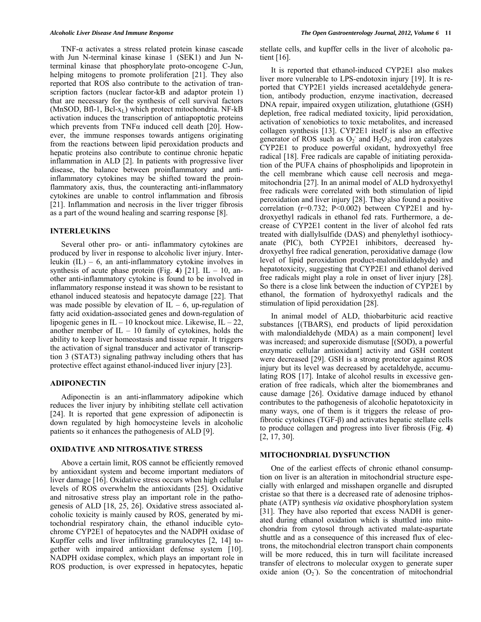TNF-α activates a stress related protein kinase cascade with Jun N-terminal kinase kinase 1 (SEK1) and Jun Nterminal kinase that phosphorylate proto-oncogene C-Jun, helping mitogens to promote proliferation [[21\]](#page-7-1). They also reported that ROS also contribute to the activation of transcription factors (nuclear factor-kB and adaptor protein 1) that are necessary for the synthesis of cell survival factors (MnSOD, Bfl-1, Bcl- $x_L$ ) which protect mitochondria. NF-kB activation induces the transcription of antiapoptotic proteins which prevents from TNF $\alpha$  induced cell death [[20\]](#page-7-0). However, the immune responses towards antigens originating from the reactions between lipid peroxidation products and hepatic proteins also contribute to continue chronic hepatic inflammation in ALD [[2\]](#page-6-1). In patients with progressive liver disease, the balance between proinflammatory and antiinflammatory cytokines may be shifted toward the proinflammatory axis, thus, the counteracting anti-inflammatory cytokines are unable to control inflammation and fibrosis [\[21](#page-7-1)]. Inflammation and necrosis in the liver trigger fibrosis as a part of the wound healing and scarring response [\[8](#page-6-5)].

#### **INTERLEUKINS**

Several other pro- or anti- inflammatory cytokines are produced by liver in response to alcoholic liver injury. Interleukin  $(IL) - 6$ , an anti-inflammatory cytokine involves in synthesis of acute phase protein (Fig. 4) [[21\]](#page-7-1). IL  $-10$ , another anti-inflammatory cytokine is found to be involved in inflammatory response instead it was shown to be resistant to ethanol induced steatosis and hepatocyte damage [[22\]](#page-7-2). That was made possible by elevation of  $IL - 6$ , up-regulation of fatty acid oxidation-associated genes and down-regulation of lipogenic genes in  $IL - 10$  knockout mice. Likewise,  $IL - 22$ , another member of  $IL - 10$  family of cytokines, holds the ability to keep liver homeostasis and tissue repair. It triggers the activation of signal transducer and activator of transcription 3 (STAT3) signaling pathway including others that has protective effect against ethanol-induced liver injury [[23\]](#page-7-3).

#### **ADIPONECTIN**

 Adiponectin is an anti-inflammatory adipokine which reduces the liver injury by inhibiting stellate cell activation [\[24](#page-7-4)]. It is reported that gene expression of adiponectin is down regulated by high homocysteine levels in alcoholic patients so it enhances the pathogenesis of ALD [\[9](#page-6-6)].

## **OXIDATIVE AND NITROSATIVE STRESS**

 Above a certain limit, ROS cannot be efficiently removed by antioxidant system and become important mediators of liver damage [[16\]](#page-6-14). Oxidative stress occurs when high cellular levels of ROS overwhelm the antioxidants [\[25](#page-7-5)]. Oxidative and nitrosative stress play an important role in the pathogenesis of ALD [\[18,](#page-6-16) [25](#page-7-5), [26](#page-7-6)]. Oxidative stress associated alcoholic toxicity is mainly caused by ROS, generated by mitochondrial respiratory chain, the ethanol inducible cytochrome CYP2E1 of hepatocytes and the NADPH oxidase of Kupffer cells and liver infiltrating granulocytes [\[2](#page-6-1), [14\]](#page-6-12) together with impaired antioxidant defense system [[10\]](#page-6-7). NADPH oxidase complex, which plays an important role in ROS production, is over expressed in hepatocytes, hepatic

stellate cells, and kupffer cells in the liver of alcoholic patient [\[16](#page-6-14)].

It is reported that ethanol-induced CYP2E1 also makes liver more vulnerable to LPS-endotoxin injury [\[19](#page-6-17)]. It is reported that CYP2E1 yields increased acetaldehyde generation, antibody production, enzyme inactivation, decreased DNA repair, impaired oxygen utilization, glutathione (GSH) depletion, free radical mediated toxicity, lipid peroxidation, activation of xenobiotics to toxic metabolites, and increased collagen synthesis [\[13](#page-6-11)]. CYP2E1 itself is also an effective generator of ROS such as  $O_2$  and  $H_2O_2$ ; and iron catalyzes CYP2E1 to produce powerful oxidant, hydroxyethyl free radical [\[18\]](#page-6-16). Free radicals are capable of initiating peroxidation of the PUFA chains of phospholipids and lipoprotein in the cell membrane which cause cell necrosis and megamitochondria [\[27](#page-7-7)]. In an animal model of ALD hydroxyethyl free radicals were correlated with both stimulation of lipid peroxidation and liver injury [[28\]](#page-7-8). They also found a positive correlation  $(r=0.732; P<0.002)$  between CYP2E1 and hydroxyethyl radicals in ethanol fed rats. Furthermore, a decrease of CYP2E1 content in the liver of alcohol fed rats treated with diallylsulfide (DAS) and phenylethyl isothiocyanate (PIC), both CYP2E1 inhibitors, decreased hydroxyethyl free radical generation, peroxidative damage (low level of lipid peroxidation product-malonildialdehyde) and hepatotoxicity, suggesting that CYP2E1 and ethanol derived free radicals might play a role in onset of liver injury [[28\]](#page-7-8). So there is a close link between the induction of CYP2E1 by ethanol, the formation of hydroxyethyl radicals and the stimulation of lipid peroxidation [\[28](#page-7-8)].

In animal model of ALD, thiobarbituric acid reactive substances [(TBARS), end products of lipid peroxidation with malondialdehyde (MDA) as a main component] level was increased; and superoxide dismutase [(SOD), a powerful enzymatic cellular antioxidant] activity and GSH content were decreased [\[29](#page-7-9)]. GSH is a strong protector against ROS injury but its level was decreased by acetaldehyde, accumulating ROS [\[17](#page-6-15)]. Intake of alcohol results in excessive generation of free radicals, which alter the biomembranes and cause damage [[26\]](#page-7-6). Oxidative damage induced by ethanol contributes to the pathogenesis of alcoholic hepatotoxicity in many ways, one of them is it triggers the release of profibrotic cytokines (TGF-β) and activates hepatic stellate cells to produce collagen and progress into liver fibrosis (Fig. **4**) [\[2](#page-6-1), [17](#page-6-15), [30](#page-7-10)].

# **MITOCHONDRIAL DYSFUNCTION**

 One of the earliest effects of chronic ethanol consumption on liver is an alteration in mitochondrial structure especially with enlarged and misshapen organelle and disrupted cristae so that there is a decreased rate of adenosine triphosphate (ATP) synthesis *via* oxidative phosphorylation system [\[31](#page-7-11)]. They have also reported that excess NADH is generated during ethanol oxidation which is shuttled into mitochondria from cytosol through activated malate-aspartate shuttle and as a consequence of this increased flux of electrons, the mitochondrial electron transport chain components will be more reduced, this in turn will facilitate increased transfer of electrons to molecular oxygen to generate super oxide anion  $(O_2)$ . So the concentration of mitochondrial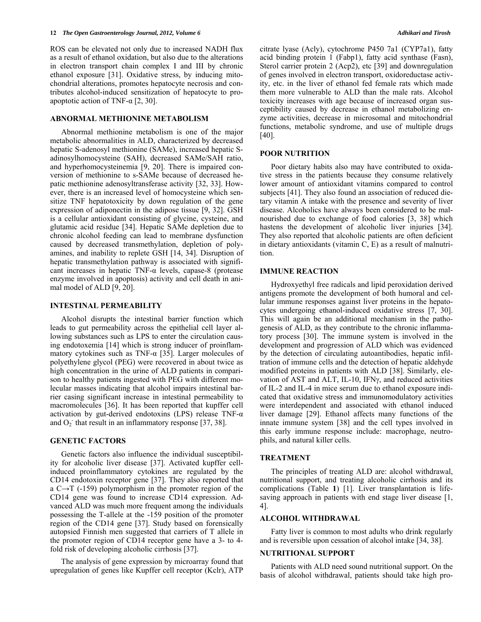ROS can be elevated not only due to increased NADH flux as a result of ethanol oxidation, but also due to the alterations in electron transport chain complex I and III by chronic ethanol exposure [\[31](#page-7-11)]. Oxidative stress, by inducing mitochondrial alterations, promotes hepatocyte necrosis and contributes alcohol-induced sensitization of hepatocyte to pro-apoptotic action of TNF-α [[2,](#page-6-1) [30\]](#page-7-10).

#### **ABNORMAL METHIONINE METABOLISM**

 Abnormal methionine metabolism is one of the major metabolic abnormalities in ALD, characterized by decreased hepatic S-adenosyl methionine (SAMe), increased hepatic Sadinosylhomocysteine (SAH), decreased SAMe/SAH ratio, and hyperhomocysteinemia [[9,](#page-6-6) [20](#page-7-0)]. There is impaired conversion of methionine to s-SAMe because of decreased hepatic methionine adenosyltransferase activity [\[32,](#page-7-12) [33\]](#page-7-0). However, there is an increased level of homocysteine which sensitize TNF hepatotoxicity by down regulation of the gene expression of adiponectin in the adipose tissue [\[9](#page-6-6), [32\]](#page-7-12). GSH is a cellular antioxidant consisting of glycine, cysteine, and glutamic acid residue [[34\]](#page-7-1). Hepatic SAMe depletion due to chronic alcohol feeding can lead to membrane dysfunction caused by decreased transmethylation, depletion of polyamines, and inability to replete GSH [\[14](#page-6-12), [34](#page-7-1)]. Disruption of hepatic transmethylation pathway is associated with significant increases in hepatic TNF-α levels, capase-8 (protease enzyme involved in apoptosis) activity and cell death in animal model of ALD [\[9,](#page-6-6) [20\]](#page-7-0).

#### **INTESTINAL PERMEABILITY**

 Alcohol disrupts the intestinal barrier function which leads to gut permeability across the epithelial cell layer allowing substances such as LPS to enter the circulation causing endotoxemia [\[14](#page-6-12)] which is strong inducer of proinflammatory cytokines such as TNF- $\alpha$  [[35\]](#page-7-2). Larger molecules of polyethylene glycol (PEG) were recovered in about twice as high concentration in the urine of ALD patients in comparison to healthy patients ingested with PEG with different molecular masses indicating that alcohol impairs intestinal barrier casing significant increase in intestinal permeability to macromolecules [\[36\]](#page-7-13). It has been reported that kupffer cell activation by gut-derived endotoxins (LPS) release TNF- $\alpha$ and  $O_2$  that result in an inflammatory response [\[37](#page-7-14), [38](#page-7-15)].

#### **GENETIC FACTORS**

 Genetic factors also influence the individual susceptibility for alcoholic liver disease [[37\]](#page-7-14). Activated kupffer cellinduced proinflammatory cytokines are regulated by the CD14 endotoxin receptor gene [[37\]](#page-7-14). They also reported that a  $C \rightarrow T$  (-159) polymorphism in the promoter region of the CD14 gene was found to increase CD14 expression. Advanced ALD was much more frequent among the individuals possessing the T-allele at the -159 position of the promoter region of the CD14 gene [\[37](#page-7-14)]. Study based on forensically autopsied Finnish men suggested that carriers of T allele in the promoter region of CD14 receptor gene have a 3- to 4 fold risk of developing alcoholic cirrhosis [\[37](#page-7-14)].

The analysis of gene expression by microarray found that upregulation of genes like Kupffer cell receptor (Kclr), ATP citrate lyase (Acly), cytochrome P450 7a1 (CYP7a1), fatty acid binding protein 1 (Fabp1), fatty acid synthase (Fasn), Sterol carrier protein 2 (Acp2), etc [[39\]](#page-7-16) and downregulation of genes involved in electron transport, oxidoreductase activity, etc. in the liver of ethanol fed female rats which made them more vulnerable to ALD than the male rats. Alcohol toxicity increases with age because of increased organ susceptibility caused by decrease in ethanol metabolizing enzyme activities, decrease in microsomal and mitochondrial functions, metabolic syndrome, and use of multiple drugs [\[40](#page-7-17)].

#### **POOR NUTRITION**

 Poor dietary habits also may have contributed to oxidative stress in the patients because they consume relatively lower amount of antioxidant vitamins compared to control subjects [\[41](#page-7-18)]. They also found an association of reduced dietary vitamin A intake with the presence and severity of liver disease. Alcoholics have always been considered to be malnourished due to exchange of food calories [\[3](#page-6-9), [38](#page-7-15)] which hastens the development of alcoholic liver injuries [[34\]](#page-7-1). They also reported that alcoholic patients are often deficient in dietary antioxidants (vitamin C, E) as a result of malnutrition.

#### **IMMUNE REACTION**

 Hydroxyethyl free radicals and lipid peroxidation derived antigens promote the development of both humoral and cellular immune responses against liver proteins in the hepatocytes undergoing ethanol-induced oxidative stress [\[7](#page-6-4), [30\]](#page-7-10). This will again be an additional mechanism in the pathogenesis of ALD, as they contribute to the chronic inflammatory process [[30\]](#page-7-10). The immune system is involved in the development and progression of ALD which was evidenced by the detection of circulating autoantibodies, hepatic infiltration of immune cells and the detection of hepatic aldehyde modified proteins in patients with ALD [\[38\]](#page-7-15). Similarly, elevation of AST and ALT, IL-10, IFN $\gamma$ , and reduced activities of IL-2 and IL-4 in mice serum due to ethanol exposure indicated that oxidative stress and immunomodulatory activities were interdependent and associated with ethanol induced liver damage [\[29\]](#page-7-9). Ethanol affects many functions of the innate immune system [\[38](#page-7-15)] and the cell types involved in this early immune response include: macrophage, neutrophils, and natural killer cells.

#### **TREATMENT**

 The principles of treating ALD are: alcohol withdrawal, nutritional support, and treating alcoholic cirrhosis and its complications (Table **1**) [\[1](#page-6-0)]. Liver transplantation is life-saving approach in patients with end stage liver disease [\[1](#page-6-0), [4\]](#page-6-18).

#### **ALCOHOL WITHDRAWAL**

 Fatty liver is common to most adults who drink regularly and is reversible upon cessation of alcohol intake [[34,](#page-7-1) [38\]](#page-7-15).

#### **NUTRITIONAL SUPPORT**

 Patients with ALD need sound nutritional support. On the basis of alcohol withdrawal, patients should take high pro-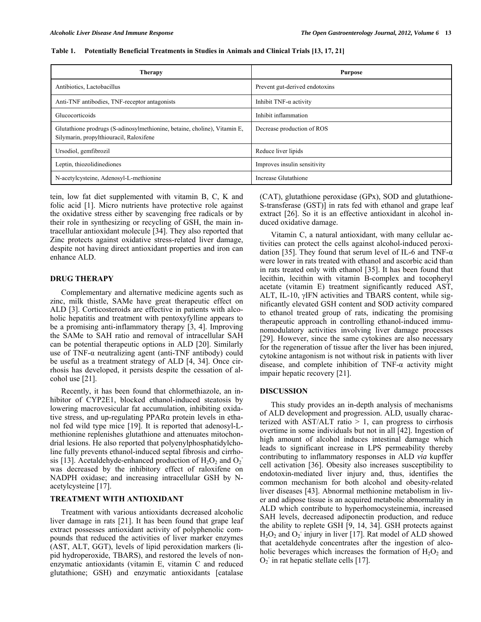| <b>Therapy</b>                                                                                                       | <b>Purpose</b>                 |
|----------------------------------------------------------------------------------------------------------------------|--------------------------------|
| Antibiotics, Lactobacillus                                                                                           | Prevent gut-derived endotoxins |
| Anti-TNF antibodies, TNF-receptor antagonists                                                                        | Inhibit $TNF-\alpha$ activity  |
| Glucocorticoids                                                                                                      | Inhibit inflammation           |
| Glutathione prodrugs (S-adinosylmethionine, betaine, choline), Vitamin E,<br>Silymarin, propylthiouracil, Raloxifene | Decrease production of ROS     |
| Ursodiol, gemfibrozil                                                                                                | Reduce liver lipids            |
| Leptin, thiozolidinediones                                                                                           | Improves insulin sensitivity   |
| N-acetylcysteine, Adenosyl-L-methionine                                                                              | Increase Glutathione           |

**Table 1. Potentially Beneficial Treatments in Studies in Animals and Clinical Trials [13, 17, 21]** 

tein, low fat diet supplemented with vitamin B, C, K and folic acid [[1\]](#page-6-0). Micro nutrients have protective role against the oxidative stress either by scavenging free radicals or by their role in synthesizing or recycling of GSH, the main intracellular antioxidant molecule [[34\]](#page-7-1). They also reported that Zinc protects against oxidative stress-related liver damage, despite not having direct antioxidant properties and iron can enhance ALD.

#### **DRUG THERAPY**

 Complementary and alternative medicine agents such as zinc, milk thistle, SAMe have great therapeutic effect on ALD [[3\]](#page-6-9). Corticosteroids are effective in patients with alcoholic hepatitis and treatment with pentoxyfylline appears to be a promising anti-inflammatory therapy [\[3,](#page-6-9) [4\]](#page-6-18). Improving the SAMe to SAH ratio and removal of intracellular SAH can be potential therapeutic options in ALD [[20\]](#page-7-0). Similarly use of TNF- $\alpha$  neutralizing agent (anti-TNF antibody) could be useful as a treatment strategy of ALD [[4,](#page-6-18) [34\]](#page-7-1). Once cirrhosis has developed, it persists despite the cessation of alcohol use [[21\]](#page-7-1).

Recently, it has been found that chlormethiazole, an inhibitor of CYP2E1, blocked ethanol-induced steatosis by lowering macrovesicular fat accumulation, inhibiting oxidative stress, and up-regulating PPARα protein levels in ethanol fed wild type mice [[19\]](#page-6-17). It is reported that adenosyl-Lmethionine replenishes glutathione and attenuates mitochondrial lesions. He also reported that polyenylphosphatidylcholine fully prevents ethanol-induced septal fibrosis and cirrho-sis [[13\]](#page-6-11). Acetaldehyde-enhanced production of  $H_2O_2$  and  $O_2$ was decreased by the inhibitory effect of raloxifene on NADPH oxidase; and increasing intracellular GSH by Nacetylcysteine [\[17](#page-6-15)].

# **TREATMENT WITH ANTIOXIDANT**

 Treatment with various antioxidants decreased alcoholic liver damage in rats [[21\]](#page-7-1). It has been found that grape leaf extract possesses antioxidant activity of polyphenolic compounds that reduced the activities of liver marker enzymes (AST, ALT, GGT), levels of lipid peroxidation markers (lipid hydroperoxide, TBARS), and restored the levels of nonenzymatic antioxidants (vitamin E, vitamin C and reduced glutathione; GSH) and enzymatic antioxidants [catalase (CAT), glutathione peroxidase (GPx), SOD and glutathione-S-transferase (GST)] in rats fed with ethanol and grape leaf extract [\[26](#page-7-6)]. So it is an effective antioxidant in alcohol induced oxidative damage.

 Vitamin C, a natural antioxidant, with many cellular activities can protect the cells against alcohol-induced peroxi-dation [\[35](#page-7-2)]. They found that serum level of IL-6 and TNF- $\alpha$ were lower in rats treated with ethanol and ascorbic acid than in rats treated only with ethanol [[35\]](#page-7-2). It has been found that lecithin, lecithin with vitamin B-complex and tocopheryl acetate (vitamin E) treatment significantly reduced AST, ALT, IL-10,  $\gamma$ IFN activities and TBARS content, while significantly elevated GSH content and SOD activity compared to ethanol treated group of rats, indicating the promising therapeutic approach in controlling ethanol-induced immunomodulatory activities involving liver damage processes [\[29](#page-7-9)]. However, since the same cytokines are also necessary for the regeneration of tissue after the liver has been injured, cytokine antagonism is not without risk in patients with liver disease, and complete inhibition of TNF-α activity might impair hepatic recovery [[21\]](#page-7-1).

#### **DISCUSSION**

 This study provides an in-depth analysis of mechanisms of ALD development and progression. ALD, usually characterized with AST/ALT ratio  $> 1$ , can progress to cirrhosis overtime in some individuals but not in all [\[42](#page-7-9)]. Ingestion of high amount of alcohol induces intestinal damage which leads to significant increase in LPS permeability thereby contributing to inflammatory responses in ALD *via* kupffer cell activation [[36\]](#page-7-13). Obesity also increases susceptibility to endotoxin-mediated liver injury and, thus, identifies the common mechanism for both alcohol and obesity-related liver diseases [\[43\]](#page-7-19). Abnormal methionine metabolism in liver and adipose tissue is an acquired metabolic abnormality in ALD which contribute to hyperhomocysteinemia, increased SAH levels, decreased adiponectin production, and reduce the ability to replete GSH [[9,](#page-6-6) [14,](#page-6-12) [34\]](#page-7-1). GSH protects against  $H<sub>2</sub>O<sub>2</sub>$  and  $O<sub>2</sub>$  injury in liver [[17\]](#page-6-15). Rat model of ALD showed that acetaldehyde concentrates after the ingestion of alcoholic beverages which increases the formation of  $H_2O_2$  and  $O_2$  in rat hepatic stellate cells [[17\]](#page-6-15).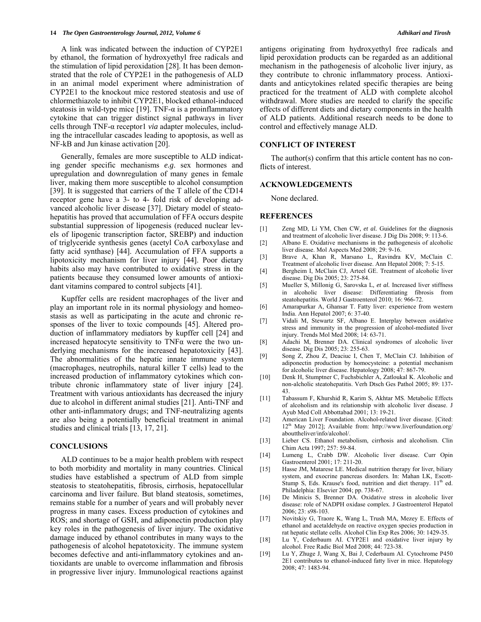A link was indicated between the induction of CYP2E1 by ethanol, the formation of hydroxyethyl free radicals and the stimulation of lipid peroxidation [\[28\]](#page-7-8). It has been demonstrated that the role of CYP2E1 in the pathogenesis of ALD in an animal model experiment where administration of CYP2E1 to the knockout mice restored steatosis and use of chlormethiazole to inhibit CYP2E1, blocked ethanol-induced steatosis in wild-type mice [[19\]](#page-6-17). TNF- $\alpha$  is a proinflammatory cytokine that can trigger distinct signal pathways in liver cells through TNF-α receptor1 *via* adapter molecules, including the intracellular cascades leading to apoptosis, as well as NF-kB and Jun kinase activation [[20\]](#page-7-0).

Generally, females are more susceptible to ALD indicating gender specific mechanisms *e.g*. sex hormones and upregulation and downregulation of many genes in female liver, making them more susceptible to alcohol consumption [\[39](#page-7-16)]. It is suggested that carriers of the T allele of the CD14 receptor gene have a 3- to 4- fold risk of developing advanced alcoholic liver disease [[37\]](#page-7-14). Dietary model of steatohepatitis has proved that accumulation of FFA occurs despite substantial suppression of lipogenesis (reduced nuclear levels of lipogenic transcription factor, SREBP) and induction of triglyceride synthesis genes (acetyl CoA carboxylase and fatty acid synthase) [[44\]](#page-7-20). Accumulation of FFA supports a lipotoxicity mechanism for liver injury [\[44](#page-7-20)]. Poor dietary habits also may have contributed to oxidative stress in the patients because they consumed lower amounts of antioxidant vitamins compared to control subjects [[41\]](#page-7-18).

<span id="page-6-18"></span><span id="page-6-9"></span><span id="page-6-6"></span><span id="page-6-5"></span><span id="page-6-4"></span><span id="page-6-3"></span><span id="page-6-2"></span><span id="page-6-1"></span><span id="page-6-0"></span>Kupffer cells are resident macrophages of the liver and play an important role in its normal physiology and homeostasis as well as participating in the acute and chronic responses of the liver to toxic compounds [\[45](#page-7-21)]. Altered production of inflammatory mediators by kupffer cell [\[24](#page-7-4)] and increased hepatocyte sensitivity to  $TNF\alpha$  were the two underlying mechanisms for the increased hepatotoxicity [[43\]](#page-7-19). The abnormalities of the hepatic innate immune system (macrophages, neutrophils, natural killer T cells) lead to the increased production of inflammatory cytokines which contribute chronic inflammatory state of liver injury [[24\]](#page-7-4). Treatment with various antioxidants has decreased the injury due to alcohol in different animal studies [\[21](#page-7-1)]. Anti-TNF and other anti-inflammatory drugs; and TNF-neutralizing agents are also being a potentially beneficial treatment in animal studies and clinical trials [[13,](#page-6-11) [17,](#page-6-15) [21\]](#page-7-1).

#### <span id="page-6-11"></span><span id="page-6-10"></span><span id="page-6-8"></span><span id="page-6-7"></span>**CONCLUSIONS**

<span id="page-6-17"></span><span id="page-6-16"></span><span id="page-6-15"></span><span id="page-6-14"></span><span id="page-6-13"></span><span id="page-6-12"></span> ALD continues to be a major health problem with respect to both morbidity and mortality in many countries. Clinical studies have established a spectrum of ALD from simple steatosis to steatohepatitis, fibrosis, cirrhosis, hepatocellular carcinoma and liver failure. But bland steatosis, sometimes, remains stable for a number of years and will probably never progress in many cases. Excess production of cytokines and ROS; and shortage of GSH, and adiponectin production play key roles in the pathogenesis of liver injury. The oxidative damage induced by ethanol contributes in many ways to the pathogenesis of alcohol hepatotoxicity. The immune system becomes defective and anti-inflammatory cytokines and antioxidants are unable to overcome inflammation and fibrosis in progressive liver injury. Immunological reactions against antigens originating from hydroxyethyl free radicals and lipid peroxidation products can be regarded as an additional mechanism in the pathogenesis of alcoholic liver injury, as they contribute to chronic inflammatory process. Antioxidants and anticytokines related specific therapies are being practiced for the treatment of ALD with complete alcohol withdrawal. More studies are needed to clarify the specific effects of different diets and dietary components in the health of ALD patients. Additional research needs to be done to control and effectively manage ALD.

# **CONFLICT OF INTEREST**

 The author(s) confirm that this article content has no conflicts of interest.

#### **ACKNOWLEDGEMENTS**

None declared.

#### **REFERENCES**

- [1] Zeng MD, Li YM, Chen CW*, et al.* Guidelines for the diagnosis and treatment of alcoholic liver disease. J Dig Dis 2008; 9: 113-6.
- [2] Albano E. Oxidative mechanisms in the pathogenesis of alcoholic liver disease. Mol Aspects Med 2008; 29: 9-16.
- [3] Brave A, Khan R, Marsano L, Ravindra KV, McClain C. Treatment of alcoholic liver disease. Ann Hepatol 2008; 7: 5-15.
- [4] Bergheim I, McClain CJ, Arteel GE. Treatment of alcoholic liver disease. Dig Dis 2005; 23: 275-84.
- [5] Mueller S, Millonig G, Sarovska L*, et al.* Increased liver stiffness in alcoholic liver disease: Differentiating fibrosis from steatohepatitis. World J Gastroenterol 2010; 16: 966-72.
- [6] Amarapurkar A, Ghansar T. Fatty liver: experience from western India. Ann Hepatol 2007; 6: 37-40.
- [7] Vidali M, Stewartz SF, Albano E. Interplay between oxidative stress and immunity in the progression of alcohol-mediated liver injury. Trends Mol Med 2008; 14: 63-71.
- [8] Adachi M, Brenner DA. Clinical syndromes of alcoholic liver disease. Dig Dis 2005; 23: 255-63.
- [9] Song Z, Zhou Z, Deaciuc I, Chen T, McClain CJ. Inhibition of adiponectin production by homocysteine: a potential mechanism for alcoholic liver disease. Hepatology 2008; 47: 867-79.
- [10] Denk H, Stumptner C, Fuchsbichler A, Zatloukal K. Alcoholic and non-alcholic steatohepatitis. Verh Dtsch Ges Pathol 2005; 89: 137- 43.
- [11] Tabassum F, Khurshid R, Karim S, Akhtar MS. Metabolic Effects of alcoholism and its relationship with alcoholic liver disease. J Ayub Med Coll Abbottabad 2001; 13: 19-21.
- [12] American Liver Foundation. Alcohol-related liver disease. [Cited: 12<sup>th</sup> May 2012]; Available from: http://www.liverfoundation.org/ abouttheliver/info/alcohol/.
- [13] Lieber CS. Ethanol metabolism, cirrhosis and alcoholism. Clin Chim Acta 1997; 257: 59-84.
- [14] Lumeng L, Crabb DW. Alcoholic liver disease. Curr Opin Gastroenterol 2001; 17: 211-20.
- [15] Hasse JM, Matarese LE. Medical nutrition therapy for liver, biliary system, and exocrine pancreas disorders. In: Mahan LK, Escott-Stump S, Eds. Krause's food, nutrition and diet therapy.  $11<sup>th</sup>$  ed. Philadelphia: Elsevier 2004; pp. 738-67.
- [16] De Minicis S, Brenner DA. Oxidative stress in alcoholic liver disease: role of NADPH oxidase complex. J Gastroenterol Hepatol 2006; 23: s98-103.
- [17] Novitskiy G, Traore K, Wang L, Trush MA, Mezey E. Effects of ethanol and acetaldehyde on reactive oxygen species production in rat hepatic stellate cells. Alcohol Clin Exp Res 2006; 30: 1429-35.
- [18] Lu Y, Cederbaum AI. CYP2E1 and oxidative liver injury by alcohol. Free Radic Biol Med 2008; 44: 723-38.
- [19] Lu Y, Zhuge J, Wang X, Bai J, Cederbaum AI. Cytochrome P450 2E1 contributes to ethanol-induced fatty liver in mice. Hepatology 2008; 47: 1483-94.